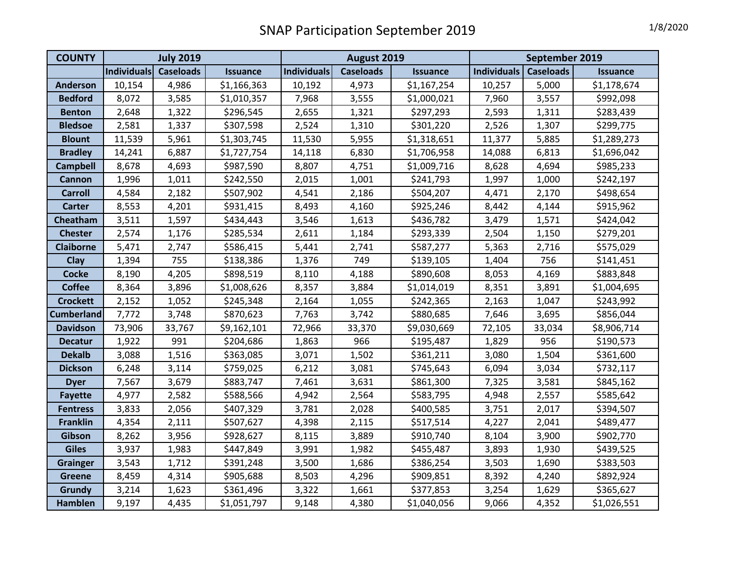| <b>COUNTY</b>     | <b>July 2019</b>   |                  |                 | August 2019        |                  |                 | September 2019     |                  |                 |
|-------------------|--------------------|------------------|-----------------|--------------------|------------------|-----------------|--------------------|------------------|-----------------|
|                   | <b>Individuals</b> | <b>Caseloads</b> | <b>Issuance</b> | <b>Individuals</b> | <b>Caseloads</b> | <b>Issuance</b> | <b>Individuals</b> | <b>Caseloads</b> | <b>Issuance</b> |
| <b>Anderson</b>   | 10,154             | 4,986            | \$1,166,363     | 10,192             | 4,973            | \$1,167,254     | 10,257             | 5,000            | \$1,178,674     |
| <b>Bedford</b>    | 8,072              | 3,585            | \$1,010,357     | 7,968              | 3,555            | \$1,000,021     | 7,960              | 3,557            | \$992,098       |
| <b>Benton</b>     | 2,648              | 1,322            | \$296,545       | 2,655              | 1,321            | \$297,293       | 2,593              | 1,311            | \$283,439       |
| <b>Bledsoe</b>    | 2,581              | 1,337            | \$307,598       | 2,524              | 1,310            | \$301,220       | 2,526              | 1,307            | \$299,775       |
| <b>Blount</b>     | 11,539             | 5,961            | \$1,303,745     | 11,530             | 5,955            | \$1,318,651     | 11,377             | 5,885            | \$1,289,273     |
| <b>Bradley</b>    | 14,241             | 6,887            | \$1,727,754     | 14,118             | 6,830            | \$1,706,958     | 14,088             | 6,813            | \$1,696,042     |
| <b>Campbell</b>   | 8,678              | 4,693            | \$987,590       | 8,807              | 4,751            | \$1,009,716     | 8,628              | 4,694            | \$985,233       |
| <b>Cannon</b>     | 1,996              | 1,011            | \$242,550       | 2,015              | 1,001            | \$241,793       | 1,997              | 1,000            | \$242,197       |
| <b>Carroll</b>    | 4,584              | 2,182            | \$507,902       | 4,541              | 2,186            | \$504,207       | 4,471              | 2,170            | \$498,654       |
| <b>Carter</b>     | 8,553              | 4,201            | \$931,415       | 8,493              | 4,160            | \$925,246       | 8,442              | 4,144            | \$915,962       |
| Cheatham          | 3,511              | 1,597            | \$434,443       | 3,546              | 1,613            | \$436,782       | 3,479              | 1,571            | \$424,042       |
| <b>Chester</b>    | 2,574              | 1,176            | \$285,534       | 2,611              | 1,184            | \$293,339       | 2,504              | 1,150            | \$279,201       |
| <b>Claiborne</b>  | 5,471              | 2,747            | \$586,415       | 5,441              | 2,741            | \$587,277       | 5,363              | 2,716            | \$575,029       |
| <b>Clay</b>       | 1,394              | 755              | \$138,386       | 1,376              | 749              | \$139,105       | 1,404              | 756              | \$141,451       |
| <b>Cocke</b>      | 8,190              | 4,205            | \$898,519       | 8,110              | 4,188            | \$890,608       | 8,053              | 4,169            | \$883,848       |
| <b>Coffee</b>     | 8,364              | 3,896            | \$1,008,626     | 8,357              | 3,884            | \$1,014,019     | 8,351              | 3,891            | \$1,004,695     |
| <b>Crockett</b>   | 2,152              | 1,052            | \$245,348       | 2,164              | 1,055            | \$242,365       | 2,163              | 1,047            | \$243,992       |
| <b>Cumberland</b> | 7,772              | 3,748            | \$870,623       | 7,763              | 3,742            | \$880,685       | 7,646              | 3,695            | \$856,044       |
| <b>Davidson</b>   | 73,906             | 33,767           | \$9,162,101     | 72,966             | 33,370           | \$9,030,669     | 72,105             | 33,034           | \$8,906,714     |
| <b>Decatur</b>    | 1,922              | 991              | \$204,686       | 1,863              | 966              | \$195,487       | 1,829              | 956              | \$190,573       |
| <b>Dekalb</b>     | 3,088              | 1,516            | \$363,085       | 3,071              | 1,502            | \$361,211       | 3,080              | 1,504            | \$361,600       |
| <b>Dickson</b>    | 6,248              | 3,114            | \$759,025       | 6,212              | 3,081            | \$745,643       | 6,094              | 3,034            | \$732,117       |
| <b>Dyer</b>       | 7,567              | 3,679            | \$883,747       | 7,461              | 3,631            | \$861,300       | 7,325              | 3,581            | \$845,162       |
| <b>Fayette</b>    | 4,977              | 2,582            | \$588,566       | 4,942              | 2,564            | \$583,795       | 4,948              | 2,557            | \$585,642       |
| <b>Fentress</b>   | 3,833              | 2,056            | \$407,329       | 3,781              | 2,028            | \$400,585       | 3,751              | 2,017            | \$394,507       |
| <b>Franklin</b>   | 4,354              | 2,111            | \$507,627       | 4,398              | 2,115            | \$517,514       | 4,227              | 2,041            | \$489,477       |
| Gibson            | 8,262              | 3,956            | \$928,627       | 8,115              | 3,889            | \$910,740       | 8,104              | 3,900            | \$902,770       |
| <b>Giles</b>      | 3,937              | 1,983            | \$447,849       | 3,991              | 1,982            | \$455,487       | 3,893              | 1,930            | \$439,525       |
| <b>Grainger</b>   | 3,543              | 1,712            | \$391,248       | 3,500              | 1,686            | \$386,254       | 3,503              | 1,690            | \$383,503       |
| <b>Greene</b>     | 8,459              | 4,314            | \$905,688       | 8,503              | 4,296            | \$909,851       | 8,392              | 4,240            | \$892,924       |
| Grundy            | 3,214              | 1,623            | \$361,496       | 3,322              | 1,661            | \$377,853       | 3,254              | 1,629            | \$365,627       |
| Hamblen           | 9,197              | 4,435            | \$1,051,797     | 9,148              | 4,380            | \$1,040,056     | 9,066              | 4,352            | \$1,026,551     |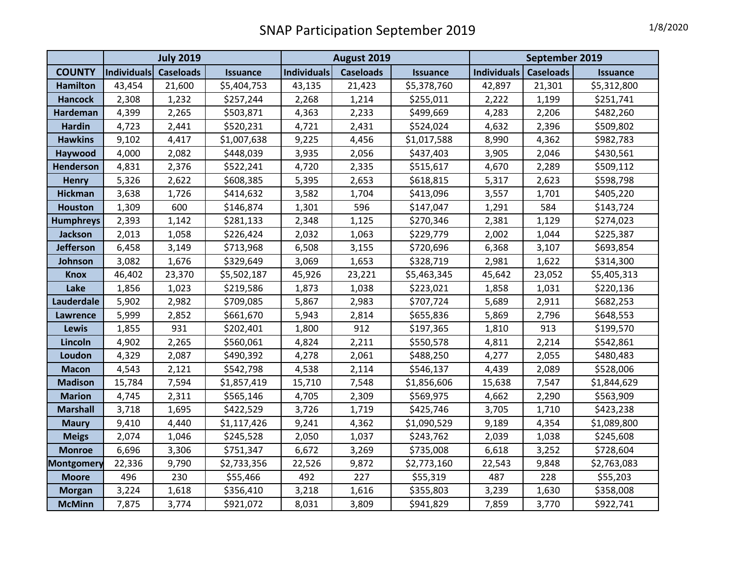|                   | <b>July 2019</b>                                   |        |                    | August 2019      |                 |                    | September 2019   |                 |             |
|-------------------|----------------------------------------------------|--------|--------------------|------------------|-----------------|--------------------|------------------|-----------------|-------------|
| <b>COUNTY</b>     | Individuals<br><b>Caseloads</b><br><b>Issuance</b> |        | <b>Individuals</b> | <b>Caseloads</b> | <b>Issuance</b> | <b>Individuals</b> | <b>Caseloads</b> | <b>Issuance</b> |             |
| <b>Hamilton</b>   | 43,454                                             | 21,600 | \$5,404,753        | 43,135           | 21,423          | \$5,378,760        | 42,897           | 21,301          | \$5,312,800 |
| <b>Hancock</b>    | 2,308                                              | 1,232  | \$257,244          | 2,268            | 1,214           | \$255,011          | 2,222            | 1,199           | \$251,741   |
| Hardeman          | 4,399                                              | 2,265  | \$503,871          | 4,363            | 2,233           | \$499,669          | 4,283            | 2,206           | \$482,260   |
| <b>Hardin</b>     | 4,723                                              | 2,441  | \$520,231          | 4,721            | 2,431           | \$524,024          | 4,632            | 2,396           | \$509,802   |
| <b>Hawkins</b>    | 9,102                                              | 4,417  | \$1,007,638        | 9,225            | 4,456           | \$1,017,588        | 8,990            | 4,362           | \$982,783   |
| Haywood           | 4,000                                              | 2,082  | \$448,039          | 3,935            | 2,056           | \$437,403          | 3,905            | 2,046           | \$430,561   |
| Henderson         | 4,831                                              | 2,376  | \$522,241          | 4,720            | 2,335           | \$515,617          | 4,670            | 2,289           | \$509,112   |
| <b>Henry</b>      | 5,326                                              | 2,622  | \$608,385          | 5,395            | 2,653           | \$618,815          | 5,317            | 2,623           | \$598,798   |
| <b>Hickman</b>    | 3,638                                              | 1,726  | \$414,632          | 3,582            | 1,704           | \$413,096          | 3,557            | 1,701           | \$405,220   |
| <b>Houston</b>    | 1,309                                              | 600    | \$146,874          | 1,301            | 596             | \$147,047          | 1,291            | 584             | \$143,724   |
| <b>Humphreys</b>  | 2,393                                              | 1,142  | \$281,133          | 2,348            | 1,125           | \$270,346          | 2,381            | 1,129           | \$274,023   |
| <b>Jackson</b>    | 2,013                                              | 1,058  | \$226,424          | 2,032            | 1,063           | \$229,779          | 2,002            | 1,044           | \$225,387   |
| <b>Jefferson</b>  | 6,458                                              | 3,149  | \$713,968          | 6,508            | 3,155           | \$720,696          | 6,368            | 3,107           | \$693,854   |
| Johnson           | 3,082                                              | 1,676  | \$329,649          | 3,069            | 1,653           | \$328,719          | 2,981            | 1,622           | \$314,300   |
| <b>Knox</b>       | 46,402                                             | 23,370 | \$5,502,187        | 45,926           | 23,221          | \$5,463,345        | 45,642           | 23,052          | \$5,405,313 |
| Lake              | 1,856                                              | 1,023  | \$219,586          | 1,873            | 1,038           | \$223,021          | 1,858            | 1,031           | \$220,136   |
| Lauderdale        | 5,902                                              | 2,982  | \$709,085          | 5,867            | 2,983           | \$707,724          | 5,689            | 2,911           | \$682,253   |
| <b>Lawrence</b>   | 5,999                                              | 2,852  | \$661,670          | 5,943            | 2,814           | \$655,836          | 5,869            | 2,796           | \$648,553   |
| <b>Lewis</b>      | 1,855                                              | 931    | \$202,401          | 1,800            | 912             | \$197,365          | 1,810            | 913             | \$199,570   |
| Lincoln           | 4,902                                              | 2,265  | \$560,061          | 4,824            | 2,211           | \$550,578          | 4,811            | 2,214           | \$542,861   |
| Loudon            | 4,329                                              | 2,087  | \$490,392          | 4,278            | 2,061           | \$488,250          | 4,277            | 2,055           | \$480,483   |
| <b>Macon</b>      | 4,543                                              | 2,121  | \$542,798          | 4,538            | 2,114           | \$546,137          | 4,439            | 2,089           | \$528,006   |
| <b>Madison</b>    | 15,784                                             | 7,594  | \$1,857,419        | 15,710           | 7,548           | \$1,856,606        | 15,638           | 7,547           | \$1,844,629 |
| <b>Marion</b>     | 4,745                                              | 2,311  | \$565,146          | 4,705            | 2,309           | \$569,975          | 4,662            | 2,290           | \$563,909   |
| <b>Marshall</b>   | 3,718                                              | 1,695  | \$422,529          | 3,726            | 1,719           | \$425,746          | 3,705            | 1,710           | \$423,238   |
| <b>Maury</b>      | 9,410                                              | 4,440  | \$1,117,426        | 9,241            | 4,362           | \$1,090,529        | 9,189            | 4,354           | \$1,089,800 |
| <b>Meigs</b>      | 2,074                                              | 1,046  | \$245,528          | 2,050            | 1,037           | \$243,762          | 2,039            | 1,038           | \$245,608   |
| <b>Monroe</b>     | 6,696                                              | 3,306  | \$751,347          | 6,672            | 3,269           | \$735,008          | 6,618            | 3,252           | \$728,604   |
| <b>Montgomery</b> | 22,336                                             | 9,790  | \$2,733,356        | 22,526           | 9,872           | \$2,773,160        | 22,543           | 9,848           | \$2,763,083 |
| <b>Moore</b>      | 496                                                | 230    | \$55,466           | 492              | 227             | \$55,319           | 487              | 228             | \$55,203    |
| <b>Morgan</b>     | 3,224                                              | 1,618  | \$356,410          | 3,218            | 1,616           | \$355,803          | 3,239            | 1,630           | \$358,008   |
| <b>McMinn</b>     | 7,875                                              | 3,774  | \$921,072          | 8,031            | 3,809           | \$941,829          | 7,859            | 3,770           | \$922,741   |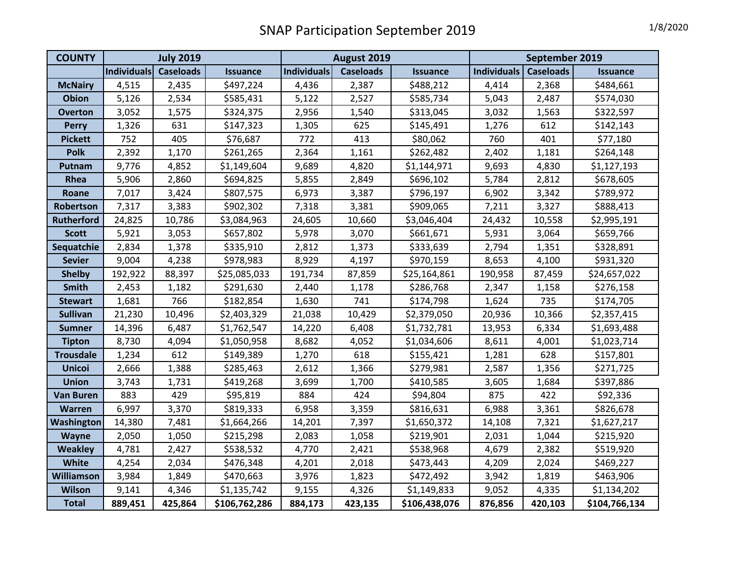| <b>COUNTY</b>     | <b>July 2019</b> |                  |                 | August 2019        |                  |                 | September 2019     |                  |                 |
|-------------------|------------------|------------------|-----------------|--------------------|------------------|-----------------|--------------------|------------------|-----------------|
|                   | Individuals      | <b>Caseloads</b> | <b>Issuance</b> | <b>Individuals</b> | <b>Caseloads</b> | <b>Issuance</b> | <b>Individuals</b> | <b>Caseloads</b> | <b>Issuance</b> |
| <b>McNairy</b>    | 4,515            | 2,435            | \$497,224       | 4,436              | 2,387            | \$488,212       | 4,414              | 2,368            | \$484,661       |
| <b>Obion</b>      | 5,126            | 2,534            | \$585,431       | 5,122              | 2,527            | \$585,734       | 5,043              | 2,487            | \$574,030       |
| <b>Overton</b>    | 3,052            | 1,575            | \$324,375       | 2,956              | 1,540            | \$313,045       | 3,032              | 1,563            | \$322,597       |
| <b>Perry</b>      | 1,326            | 631              | \$147,323       | 1,305              | 625              | \$145,491       | 1,276              | 612              | \$142,143       |
| <b>Pickett</b>    | 752              | 405              | \$76,687        | 772                | 413              | \$80,062        | 760                | 401              | \$77,180        |
| <b>Polk</b>       | 2,392            | 1,170            | \$261,265       | 2,364              | 1,161            | \$262,482       | 2,402              | 1,181            | \$264,148       |
| Putnam            | 9,776            | 4,852            | \$1,149,604     | 9,689              | 4,820            | \$1,144,971     | 9,693              | 4,830            | \$1,127,193     |
| Rhea              | 5,906            | 2,860            | \$694,825       | 5,855              | 2,849            | \$696,102       | 5,784              | 2,812            | \$678,605       |
| Roane             | 7,017            | 3,424            | \$807,575       | 6,973              | 3,387            | \$796,197       | 6,902              | 3,342            | \$789,972       |
| Robertson         | 7,317            | 3,383            | \$902,302       | 7,318              | 3,381            | \$909,065       | 7,211              | 3,327            | \$888,413       |
| <b>Rutherford</b> | 24,825           | 10,786           | \$3,084,963     | 24,605             | 10,660           | \$3,046,404     | 24,432             | 10,558           | \$2,995,191     |
| <b>Scott</b>      | 5,921            | 3,053            | \$657,802       | 5,978              | 3,070            | \$661,671       | 5,931              | 3,064            | \$659,766       |
| Sequatchie        | 2,834            | 1,378            | \$335,910       | 2,812              | 1,373            | \$333,639       | 2,794              | 1,351            | \$328,891       |
| <b>Sevier</b>     | 9,004            | 4,238            | \$978,983       | 8,929              | 4,197            | \$970,159       | 8,653              | 4,100            | \$931,320       |
| <b>Shelby</b>     | 192,922          | 88,397           | \$25,085,033    | 191,734            | 87,859           | \$25,164,861    | 190,958            | 87,459           | \$24,657,022    |
| <b>Smith</b>      | 2,453            | 1,182            | \$291,630       | 2,440              | 1,178            | \$286,768       | 2,347              | 1,158            | \$276,158       |
| <b>Stewart</b>    | 1,681            | 766              | \$182,854       | 1,630              | 741              | \$174,798       | 1,624              | 735              | \$174,705       |
| <b>Sullivan</b>   | 21,230           | 10,496           | \$2,403,329     | 21,038             | 10,429           | \$2,379,050     | 20,936             | 10,366           | \$2,357,415     |
| <b>Sumner</b>     | 14,396           | 6,487            | \$1,762,547     | 14,220             | 6,408            | \$1,732,781     | 13,953             | 6,334            | \$1,693,488     |
| <b>Tipton</b>     | 8,730            | 4,094            | \$1,050,958     | 8,682              | 4,052            | \$1,034,606     | 8,611              | 4,001            | \$1,023,714     |
| <b>Trousdale</b>  | 1,234            | 612              | \$149,389       | 1,270              | 618              | \$155,421       | 1,281              | 628              | \$157,801       |
| <b>Unicoi</b>     | 2,666            | 1,388            | \$285,463       | 2,612              | 1,366            | \$279,981       | 2,587              | 1,356            | \$271,725       |
| <b>Union</b>      | 3,743            | 1,731            | \$419,268       | 3,699              | 1,700            | \$410,585       | 3,605              | 1,684            | \$397,886       |
| <b>Van Buren</b>  | 883              | 429              | \$95,819        | 884                | 424              | \$94,804        | 875                | 422              | \$92,336        |
| Warren            | 6,997            | 3,370            | \$819,333       | 6,958              | 3,359            | \$816,631       | 6,988              | 3,361            | \$826,678       |
| Washington        | 14,380           | 7,481            | \$1,664,266     | 14,201             | 7,397            | \$1,650,372     | 14,108             | 7,321            | \$1,627,217     |
| Wayne             | 2,050            | 1,050            | \$215,298       | 2,083              | 1,058            | \$219,901       | 2,031              | 1,044            | \$215,920       |
| <b>Weakley</b>    | 4,781            | 2,427            | \$538,532       | 4,770              | 2,421            | \$538,968       | 4,679              | 2,382            | \$519,920       |
| White             | 4,254            | 2,034            | \$476,348       | 4,201              | 2,018            | \$473,443       | 4,209              | 2,024            | \$469,227       |
| Williamson        | 3,984            | 1,849            | \$470,663       | 3,976              | 1,823            | \$472,492       | 3,942              | 1,819            | \$463,906       |
| <b>Wilson</b>     | 9,141            | 4,346            | \$1,135,742     | 9,155              | 4,326            | \$1,149,833     | 9,052              | 4,335            | \$1,134,202     |
| <b>Total</b>      | 889,451          | 425,864          | \$106,762,286   | 884,173            | 423,135          | \$106,438,076   | 876,856            | 420,103          | \$104,766,134   |